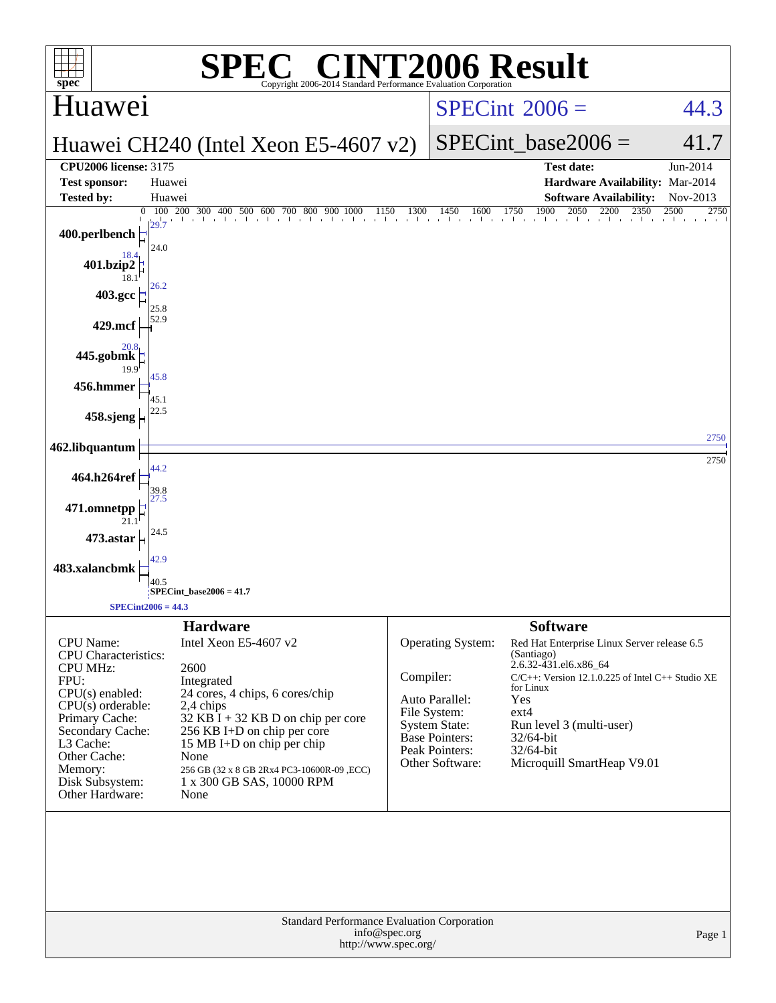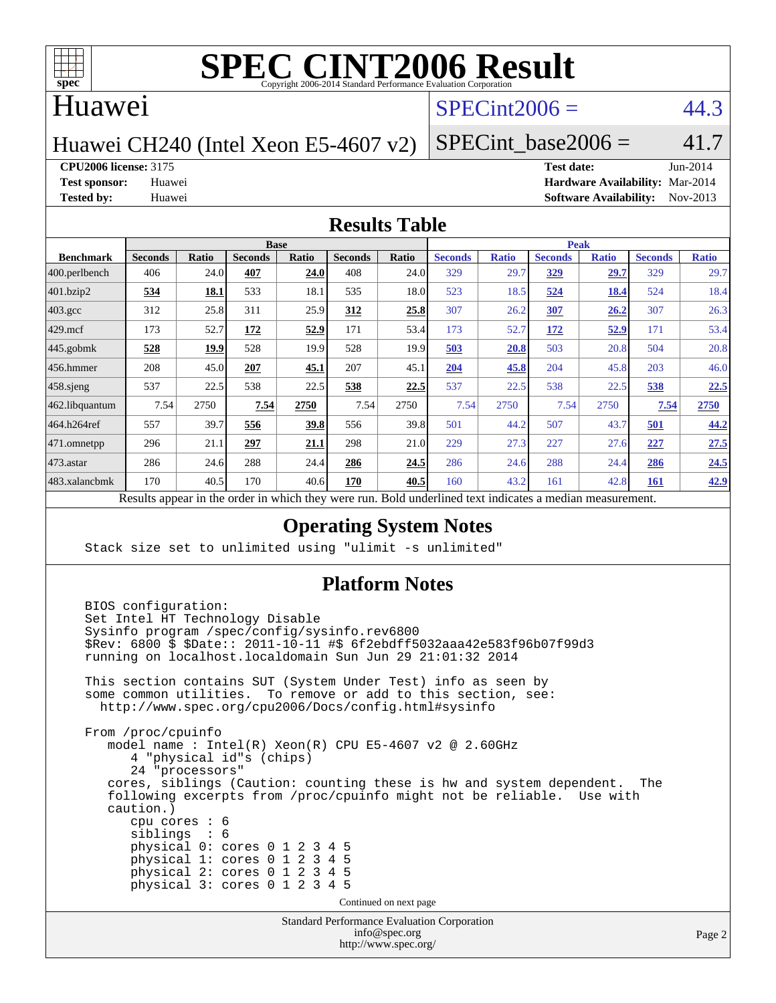

### Huawei

# $SPECint2006 = 44.3$  $SPECint2006 = 44.3$

Huawei CH240 (Intel Xeon E5-4607 v2)

SPECint base2006 =  $41.7$ 

**[CPU2006 license:](http://www.spec.org/auto/cpu2006/Docs/result-fields.html#CPU2006license)** 3175 **[Test date:](http://www.spec.org/auto/cpu2006/Docs/result-fields.html#Testdate)** Jun-2014

**[Test sponsor:](http://www.spec.org/auto/cpu2006/Docs/result-fields.html#Testsponsor)** Huawei **[Hardware Availability:](http://www.spec.org/auto/cpu2006/Docs/result-fields.html#HardwareAvailability)** Mar-2014 **[Tested by:](http://www.spec.org/auto/cpu2006/Docs/result-fields.html#Testedby)** Huawei **[Software Availability:](http://www.spec.org/auto/cpu2006/Docs/result-fields.html#SoftwareAvailability)** Nov-2013

#### **[Results Table](http://www.spec.org/auto/cpu2006/Docs/result-fields.html#ResultsTable)**

|                    | <b>Base</b>                                       |              |                |       |                |       | <b>Peak</b>                                         |              |                |              |                |              |
|--------------------|---------------------------------------------------|--------------|----------------|-------|----------------|-------|-----------------------------------------------------|--------------|----------------|--------------|----------------|--------------|
| <b>Benchmark</b>   | <b>Seconds</b>                                    | <b>Ratio</b> | <b>Seconds</b> | Ratio | <b>Seconds</b> | Ratio | <b>Seconds</b>                                      | <b>Ratio</b> | <b>Seconds</b> | <b>Ratio</b> | <b>Seconds</b> | <b>Ratio</b> |
| $ 400$ .perlbench  | 406                                               | 24.0         | 407            | 24.0  | 408            | 24.0  | 329                                                 | 29.7         | 329            | 29.7         | 329            | 29.7         |
| 401.bzip2          | 534                                               | 18.1         | 533            | 18.1  | 535            | 18.0  | 523                                                 | 18.5         | 524            | 18.4         | 524            | 18.4         |
| $403.\mathrm{gcc}$ | 312                                               | 25.8         | 311            | 25.9  | 312            | 25.8  | 307                                                 | 26.2         | 307            | 26.2         | 307            | 26.3         |
| $429$ mcf          | 173                                               | 52.7         | 172            | 52.9  | 171            | 53.4  | 173                                                 | 52.7         | <u>172</u>     | <u>52.9</u>  | 171            | 53.4         |
| $445$ .gobmk       | 528                                               | 19.9         | 528            | 19.9  | 528            | 19.9  | 503                                                 | 20.8         | 503            | 20.8         | 504            | 20.8         |
| $456.$ hmmer       | 208                                               | 45.0         | 207            | 45.1  | 207            | 45.1  | 204                                                 | 45.8         | 204            | 45.8         | 203            | 46.0         |
| $458$ .sjeng       | 537                                               | 22.5         | 538            | 22.5  | 538            | 22.5  | 537                                                 | 22.5         | 538            | 22.5         | 538            | 22.5         |
| 462.libquantum     | 7.54                                              | 2750         | 7.54           | 2750  | 7.54           | 2750  | 7.54                                                | 2750         | 7.54           | 2750         | 7.54           | 2750         |
| 464.h264ref        | 557                                               | 39.7         | 556            | 39.8  | 556            | 39.8  | 501                                                 | 44.2         | 507            | 43.7         | 501            | 44.2         |
| 471.omnetpp        | 296                                               | 21.1         | 297            | 21.1  | 298            | 21.0  | 229                                                 | 27.3         | 227            | 27.6         | 227            | 27.5         |
| $473.$ astar       | 286                                               | 24.6         | 288            | 24.4  | 286            | 24.5  | 286                                                 | 24.6         | 288            | 24.4         | 286            | 24.5         |
| 483.xalancbmk      | 170                                               | 40.5         | 170            | 40.6  | 170            | 40.5  | 160                                                 | 43.2         | 161            | 42.8         | 161            | 42.9         |
|                    | Decute ennoye in the order in which they were mun |              |                |       |                |       | Dold underlined text indicates a madian measurement |              |                |              |                |              |

Results appear in the [order in which they were run.](http://www.spec.org/auto/cpu2006/Docs/result-fields.html#RunOrder) Bold underlined text [indicates a median measurement.](http://www.spec.org/auto/cpu2006/Docs/result-fields.html#Median)

### **[Operating System Notes](http://www.spec.org/auto/cpu2006/Docs/result-fields.html#OperatingSystemNotes)**

Stack size set to unlimited using "ulimit -s unlimited"

### **[Platform Notes](http://www.spec.org/auto/cpu2006/Docs/result-fields.html#PlatformNotes)**

Standard Performance Evaluation Corporation [info@spec.org](mailto:info@spec.org) BIOS configuration: Set Intel HT Technology Disable Sysinfo program /spec/config/sysinfo.rev6800 \$Rev: 6800 \$ \$Date:: 2011-10-11 #\$ 6f2ebdff5032aaa42e583f96b07f99d3 running on localhost.localdomain Sun Jun 29 21:01:32 2014 This section contains SUT (System Under Test) info as seen by some common utilities. To remove or add to this section, see: <http://www.spec.org/cpu2006/Docs/config.html#sysinfo> From /proc/cpuinfo model name : Intel(R) Xeon(R) CPU E5-4607 v2 @ 2.60GHz 4 "physical id"s (chips) 24 "processors" cores, siblings (Caution: counting these is hw and system dependent. The following excerpts from /proc/cpuinfo might not be reliable. Use with caution.) cpu cores : 6 siblings : 6 physical 0: cores 0 1 2 3 4 5 physical 1: cores 0 1 2 3 4 5 physical 2: cores 0 1 2 3 4 5 physical 3: cores 0 1 2 3 4 5 Continued on next page

<http://www.spec.org/>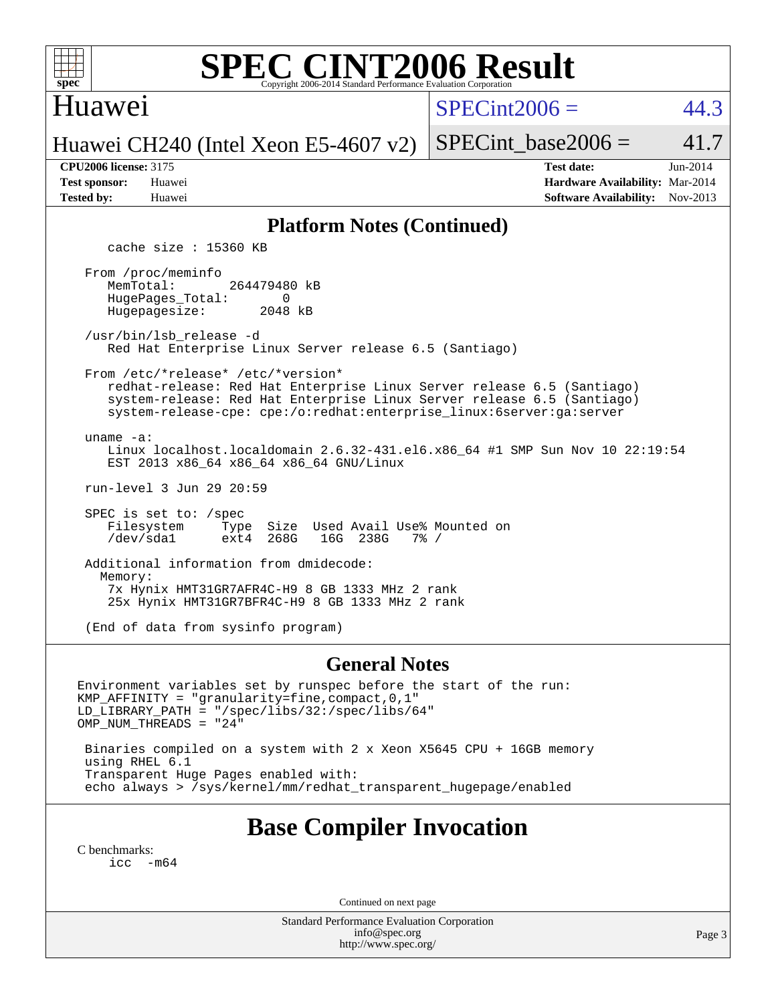

### Huawei

 $SPECint2006 = 44.3$  $SPECint2006 = 44.3$ 

Huawei CH240 (Intel Xeon E5-4607 v2)

SPECint base2006 =  $41.7$ 

| <b>Test sponsor:</b> | Huawei |
|----------------------|--------|
| <b>Tested by:</b>    | Huawei |

**[CPU2006 license:](http://www.spec.org/auto/cpu2006/Docs/result-fields.html#CPU2006license)** 3175 **[Test date:](http://www.spec.org/auto/cpu2006/Docs/result-fields.html#Testdate)** Jun-2014 **[Hardware Availability:](http://www.spec.org/auto/cpu2006/Docs/result-fields.html#HardwareAvailability)** Mar-2014 **[Software Availability:](http://www.spec.org/auto/cpu2006/Docs/result-fields.html#SoftwareAvailability)** Nov-2013

#### **[Platform Notes \(Continued\)](http://www.spec.org/auto/cpu2006/Docs/result-fields.html#PlatformNotes)**

cache size : 15360 KB

 From /proc/meminfo MemTotal: 264479480 kB HugePages\_Total: 0<br>Hugepagesize: 2048 kB Hugepagesize:

 /usr/bin/lsb\_release -d Red Hat Enterprise Linux Server release 6.5 (Santiago)

From /etc/\*release\* /etc/\*version\*

 redhat-release: Red Hat Enterprise Linux Server release 6.5 (Santiago) system-release: Red Hat Enterprise Linux Server release 6.5 (Santiago) system-release-cpe: cpe:/o:redhat:enterprise\_linux:6server:ga:server

uname -a:

 Linux localhost.localdomain 2.6.32-431.el6.x86\_64 #1 SMP Sun Nov 10 22:19:54 EST 2013 x86\_64 x86\_64 x86\_64 GNU/Linux

run-level 3 Jun 29 20:59

SPEC is set to: /spec<br>Filesystem Type Type Size Used Avail Use% Mounted on<br>ext4 268G 16G 238G 7% / /dev/sda1 ext4 268G 16G 238G 7% /

 Additional information from dmidecode: Memory: 7x Hynix HMT31GR7AFR4C-H9 8 GB 1333 MHz 2 rank 25x Hynix HMT31GR7BFR4C-H9 8 GB 1333 MHz 2 rank

(End of data from sysinfo program)

#### **[General Notes](http://www.spec.org/auto/cpu2006/Docs/result-fields.html#GeneralNotes)**

Environment variables set by runspec before the start of the run: KMP\_AFFINITY = "granularity=fine,compact,0,1" LD\_LIBRARY\_PATH = "/spec/libs/32:/spec/libs/64" OMP\_NUM\_THREADS = "24"

 Binaries compiled on a system with 2 x Xeon X5645 CPU + 16GB memory using RHEL 6.1 Transparent Huge Pages enabled with: echo always > /sys/kernel/mm/redhat\_transparent\_hugepage/enabled

# **[Base Compiler Invocation](http://www.spec.org/auto/cpu2006/Docs/result-fields.html#BaseCompilerInvocation)**

[C benchmarks](http://www.spec.org/auto/cpu2006/Docs/result-fields.html#Cbenchmarks): [icc -m64](http://www.spec.org/cpu2006/results/res2014q3/cpu2006-20140701-30277.flags.html#user_CCbase_intel_icc_64bit_f346026e86af2a669e726fe758c88044)

Continued on next page

Standard Performance Evaluation Corporation [info@spec.org](mailto:info@spec.org) <http://www.spec.org/>

Page 3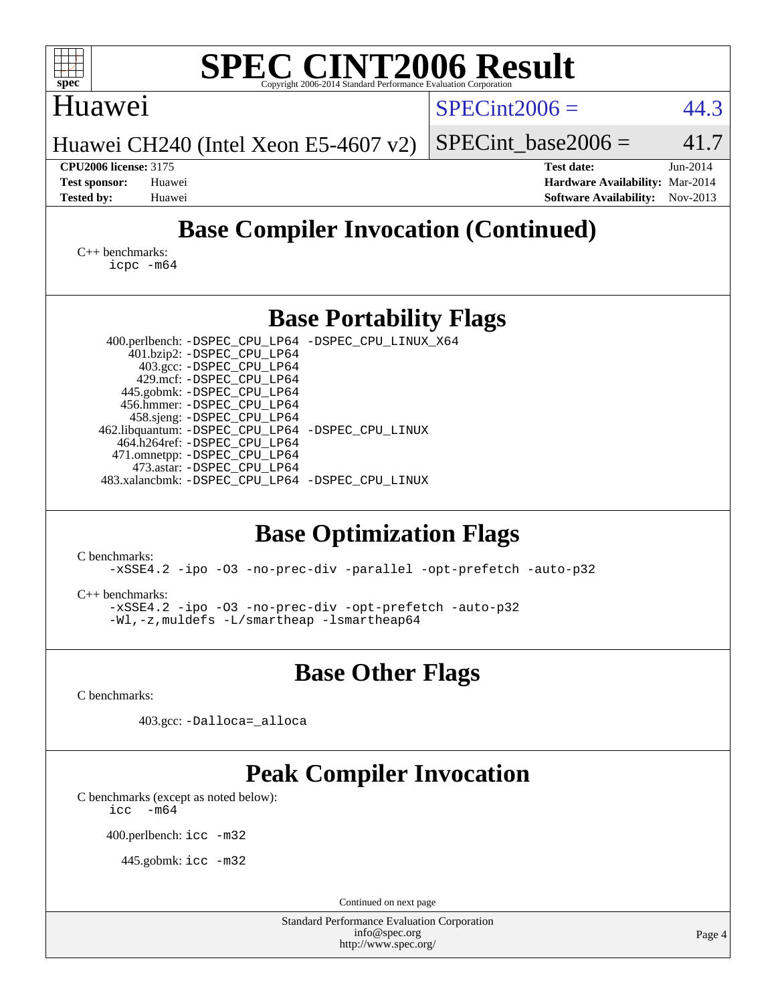| <b>SPEC CINT2006 Result</b><br>spec <sup>®</sup><br>Copyright 2006-2014 Standard Performance Evaluation Corporation                                                                                                                                                                                                                                                                                                                      |                                                                                                            |
|------------------------------------------------------------------------------------------------------------------------------------------------------------------------------------------------------------------------------------------------------------------------------------------------------------------------------------------------------------------------------------------------------------------------------------------|------------------------------------------------------------------------------------------------------------|
| Huawei                                                                                                                                                                                                                                                                                                                                                                                                                                   | $SPECint2006 =$<br>44.3                                                                                    |
| Huawei CH240 (Intel Xeon E5-4607 v2)                                                                                                                                                                                                                                                                                                                                                                                                     | 41.7<br>$SPECint base2006 =$                                                                               |
| <b>CPU2006 license: 3175</b><br><b>Test sponsor:</b><br>Huawei<br><b>Tested by:</b><br>Huawei                                                                                                                                                                                                                                                                                                                                            | <b>Test date:</b><br>Jun-2014<br>Hardware Availability: Mar-2014<br><b>Software Availability:</b> Nov-2013 |
| <b>Base Compiler Invocation (Continued)</b>                                                                                                                                                                                                                                                                                                                                                                                              |                                                                                                            |
| $C_{++}$ benchmarks:<br>icpc -m64                                                                                                                                                                                                                                                                                                                                                                                                        |                                                                                                            |
| <b>Base Portability Flags</b>                                                                                                                                                                                                                                                                                                                                                                                                            |                                                                                                            |
| 400.perlbench: -DSPEC_CPU_LP64 -DSPEC_CPU_LINUX_X64<br>401.bzip2: -DSPEC_CPU_LP64<br>403.gcc: -DSPEC_CPU_LP64<br>429.mcf: -DSPEC_CPU_LP64<br>445.gobmk: -DSPEC_CPU_LP64<br>456.hmmer: -DSPEC_CPU_LP64<br>458.sjeng: -DSPEC_CPU_LP64<br>462.libquantum: -DSPEC_CPU_LP64 -DSPEC_CPU_LINUX<br>464.h264ref: -DSPEC_CPU_LP64<br>471.omnetpp: -DSPEC_CPU_LP64<br>473.astar: -DSPEC_CPU_LP64<br>483.xalancbmk: -DSPEC_CPU_LP64 -DSPEC_CPU_LINUX |                                                                                                            |
| <b>Base Optimization Flags</b><br>C benchmarks:<br>-xSSE4.2 -ipo -03 -no-prec-div -parallel -opt-prefetch -auto-p32<br>$C_{++}$ benchmarks:<br>-xSSE4.2 -ipo -03 -no-prec-div -opt-prefetch -auto-p32<br>-Wl,-z,muldets -L/smartheap -Ismartheap64                                                                                                                                                                                       |                                                                                                            |
| <b>Base Other Flags</b>                                                                                                                                                                                                                                                                                                                                                                                                                  |                                                                                                            |
| C benchmarks:<br>403.gcc: -Dalloca=_alloca                                                                                                                                                                                                                                                                                                                                                                                               |                                                                                                            |
| <b>Peak Compiler Invocation</b><br>C benchmarks (except as noted below):<br>$-m64$<br>icc<br>400.perlbench: icc -m32<br>445.gobmk: icc -m32                                                                                                                                                                                                                                                                                              |                                                                                                            |
| Continued on next page<br>Standard Performance Evaluation Corporation                                                                                                                                                                                                                                                                                                                                                                    |                                                                                                            |
| info@spec.org<br>http://www.spec.org/                                                                                                                                                                                                                                                                                                                                                                                                    | Page 4                                                                                                     |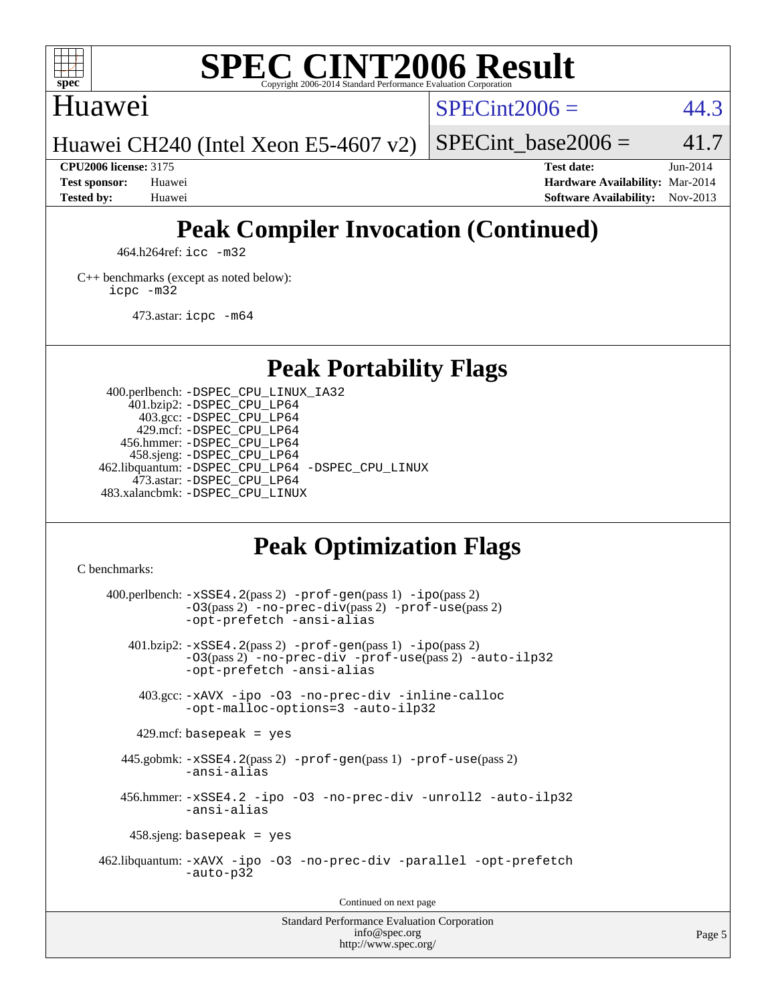

# Huawei

 $SPECint2006 = 44.3$  $SPECint2006 = 44.3$ 

Huawei CH240 (Intel Xeon E5-4607 v2)

SPECint base2006 =  $41.7$ 

**[CPU2006 license:](http://www.spec.org/auto/cpu2006/Docs/result-fields.html#CPU2006license)** 3175 **[Test date:](http://www.spec.org/auto/cpu2006/Docs/result-fields.html#Testdate)** Jun-2014 **[Test sponsor:](http://www.spec.org/auto/cpu2006/Docs/result-fields.html#Testsponsor)** Huawei **[Hardware Availability:](http://www.spec.org/auto/cpu2006/Docs/result-fields.html#HardwareAvailability)** Mar-2014 **[Tested by:](http://www.spec.org/auto/cpu2006/Docs/result-fields.html#Testedby)** Huawei **[Software Availability:](http://www.spec.org/auto/cpu2006/Docs/result-fields.html#SoftwareAvailability)** Nov-2013

# **[Peak Compiler Invocation \(Continued\)](http://www.spec.org/auto/cpu2006/Docs/result-fields.html#PeakCompilerInvocation)**

464.h264ref: [icc -m32](http://www.spec.org/cpu2006/results/res2014q3/cpu2006-20140701-30277.flags.html#user_peakCCLD464_h264ref_intel_icc_a6a621f8d50482236b970c6ac5f55f93)

[C++ benchmarks \(except as noted below\):](http://www.spec.org/auto/cpu2006/Docs/result-fields.html#CXXbenchmarksexceptasnotedbelow) [icpc -m32](http://www.spec.org/cpu2006/results/res2014q3/cpu2006-20140701-30277.flags.html#user_CXXpeak_intel_icpc_4e5a5ef1a53fd332b3c49e69c3330699)

473.astar: [icpc -m64](http://www.spec.org/cpu2006/results/res2014q3/cpu2006-20140701-30277.flags.html#user_peakCXXLD473_astar_intel_icpc_64bit_fc66a5337ce925472a5c54ad6a0de310)

# **[Peak Portability Flags](http://www.spec.org/auto/cpu2006/Docs/result-fields.html#PeakPortabilityFlags)**

 400.perlbench: [-DSPEC\\_CPU\\_LINUX\\_IA32](http://www.spec.org/cpu2006/results/res2014q3/cpu2006-20140701-30277.flags.html#b400.perlbench_peakCPORTABILITY_DSPEC_CPU_LINUX_IA32) 401.bzip2: [-DSPEC\\_CPU\\_LP64](http://www.spec.org/cpu2006/results/res2014q3/cpu2006-20140701-30277.flags.html#suite_peakPORTABILITY401_bzip2_DSPEC_CPU_LP64) 403.gcc: [-DSPEC\\_CPU\\_LP64](http://www.spec.org/cpu2006/results/res2014q3/cpu2006-20140701-30277.flags.html#suite_peakPORTABILITY403_gcc_DSPEC_CPU_LP64) 429.mcf: [-DSPEC\\_CPU\\_LP64](http://www.spec.org/cpu2006/results/res2014q3/cpu2006-20140701-30277.flags.html#suite_peakPORTABILITY429_mcf_DSPEC_CPU_LP64) 456.hmmer: [-DSPEC\\_CPU\\_LP64](http://www.spec.org/cpu2006/results/res2014q3/cpu2006-20140701-30277.flags.html#suite_peakPORTABILITY456_hmmer_DSPEC_CPU_LP64) 458.sjeng: [-DSPEC\\_CPU\\_LP64](http://www.spec.org/cpu2006/results/res2014q3/cpu2006-20140701-30277.flags.html#suite_peakPORTABILITY458_sjeng_DSPEC_CPU_LP64) 462.libquantum: [-DSPEC\\_CPU\\_LP64](http://www.spec.org/cpu2006/results/res2014q3/cpu2006-20140701-30277.flags.html#suite_peakPORTABILITY462_libquantum_DSPEC_CPU_LP64) [-DSPEC\\_CPU\\_LINUX](http://www.spec.org/cpu2006/results/res2014q3/cpu2006-20140701-30277.flags.html#b462.libquantum_peakCPORTABILITY_DSPEC_CPU_LINUX) 473.astar: [-DSPEC\\_CPU\\_LP64](http://www.spec.org/cpu2006/results/res2014q3/cpu2006-20140701-30277.flags.html#suite_peakPORTABILITY473_astar_DSPEC_CPU_LP64) 483.xalancbmk: [-DSPEC\\_CPU\\_LINUX](http://www.spec.org/cpu2006/results/res2014q3/cpu2006-20140701-30277.flags.html#b483.xalancbmk_peakCXXPORTABILITY_DSPEC_CPU_LINUX)

# **[Peak Optimization Flags](http://www.spec.org/auto/cpu2006/Docs/result-fields.html#PeakOptimizationFlags)**

[C benchmarks](http://www.spec.org/auto/cpu2006/Docs/result-fields.html#Cbenchmarks):

 $400.$ perlbench:  $-xSSE4$ .  $2(pass 2)$  -prof-qen(pass 1) [-ipo](http://www.spec.org/cpu2006/results/res2014q3/cpu2006-20140701-30277.flags.html#user_peakPASS2_CFLAGSPASS2_LDCFLAGS400_perlbench_f-ipo)(pass 2) [-O3](http://www.spec.org/cpu2006/results/res2014q3/cpu2006-20140701-30277.flags.html#user_peakPASS2_CFLAGSPASS2_LDCFLAGS400_perlbench_f-O3)(pass 2) [-no-prec-div](http://www.spec.org/cpu2006/results/res2014q3/cpu2006-20140701-30277.flags.html#user_peakPASS2_CFLAGSPASS2_LDCFLAGS400_perlbench_f-no-prec-div)(pass 2) [-prof-use](http://www.spec.org/cpu2006/results/res2014q3/cpu2006-20140701-30277.flags.html#user_peakPASS2_CFLAGSPASS2_LDCFLAGS400_perlbench_prof_use_bccf7792157ff70d64e32fe3e1250b55)(pass 2) [-opt-prefetch](http://www.spec.org/cpu2006/results/res2014q3/cpu2006-20140701-30277.flags.html#user_peakCOPTIMIZE400_perlbench_f-opt-prefetch) [-ansi-alias](http://www.spec.org/cpu2006/results/res2014q3/cpu2006-20140701-30277.flags.html#user_peakCOPTIMIZE400_perlbench_f-ansi-alias) 401.bzip2: [-xSSE4.2](http://www.spec.org/cpu2006/results/res2014q3/cpu2006-20140701-30277.flags.html#user_peakPASS2_CFLAGSPASS2_LDCFLAGS401_bzip2_f-xSSE42_f91528193cf0b216347adb8b939d4107)(pass 2) [-prof-gen](http://www.spec.org/cpu2006/results/res2014q3/cpu2006-20140701-30277.flags.html#user_peakPASS1_CFLAGSPASS1_LDCFLAGS401_bzip2_prof_gen_e43856698f6ca7b7e442dfd80e94a8fc)(pass 1) [-ipo](http://www.spec.org/cpu2006/results/res2014q3/cpu2006-20140701-30277.flags.html#user_peakPASS2_CFLAGSPASS2_LDCFLAGS401_bzip2_f-ipo)(pass 2) [-O3](http://www.spec.org/cpu2006/results/res2014q3/cpu2006-20140701-30277.flags.html#user_peakPASS2_CFLAGSPASS2_LDCFLAGS401_bzip2_f-O3)(pass 2) [-no-prec-div](http://www.spec.org/cpu2006/results/res2014q3/cpu2006-20140701-30277.flags.html#user_peakCOPTIMIZEPASS2_CFLAGSPASS2_LDCFLAGS401_bzip2_f-no-prec-div) [-prof-use](http://www.spec.org/cpu2006/results/res2014q3/cpu2006-20140701-30277.flags.html#user_peakPASS2_CFLAGSPASS2_LDCFLAGS401_bzip2_prof_use_bccf7792157ff70d64e32fe3e1250b55)(pass 2) [-auto-ilp32](http://www.spec.org/cpu2006/results/res2014q3/cpu2006-20140701-30277.flags.html#user_peakCOPTIMIZE401_bzip2_f-auto-ilp32) [-opt-prefetch](http://www.spec.org/cpu2006/results/res2014q3/cpu2006-20140701-30277.flags.html#user_peakCOPTIMIZE401_bzip2_f-opt-prefetch) [-ansi-alias](http://www.spec.org/cpu2006/results/res2014q3/cpu2006-20140701-30277.flags.html#user_peakCOPTIMIZE401_bzip2_f-ansi-alias) 403.gcc: [-xAVX](http://www.spec.org/cpu2006/results/res2014q3/cpu2006-20140701-30277.flags.html#user_peakCOPTIMIZE403_gcc_f-xAVX) [-ipo](http://www.spec.org/cpu2006/results/res2014q3/cpu2006-20140701-30277.flags.html#user_peakCOPTIMIZE403_gcc_f-ipo) [-O3](http://www.spec.org/cpu2006/results/res2014q3/cpu2006-20140701-30277.flags.html#user_peakCOPTIMIZE403_gcc_f-O3) [-no-prec-div](http://www.spec.org/cpu2006/results/res2014q3/cpu2006-20140701-30277.flags.html#user_peakCOPTIMIZE403_gcc_f-no-prec-div) [-inline-calloc](http://www.spec.org/cpu2006/results/res2014q3/cpu2006-20140701-30277.flags.html#user_peakCOPTIMIZE403_gcc_f-inline-calloc) [-opt-malloc-options=3](http://www.spec.org/cpu2006/results/res2014q3/cpu2006-20140701-30277.flags.html#user_peakCOPTIMIZE403_gcc_f-opt-malloc-options_13ab9b803cf986b4ee62f0a5998c2238) [-auto-ilp32](http://www.spec.org/cpu2006/results/res2014q3/cpu2006-20140701-30277.flags.html#user_peakCOPTIMIZE403_gcc_f-auto-ilp32)  $429$ .mcf: basepeak = yes 445.gobmk: [-xSSE4.2](http://www.spec.org/cpu2006/results/res2014q3/cpu2006-20140701-30277.flags.html#user_peakPASS2_CFLAGSPASS2_LDCFLAGS445_gobmk_f-xSSE42_f91528193cf0b216347adb8b939d4107)(pass 2) [-prof-gen](http://www.spec.org/cpu2006/results/res2014q3/cpu2006-20140701-30277.flags.html#user_peakPASS1_CFLAGSPASS1_LDCFLAGS445_gobmk_prof_gen_e43856698f6ca7b7e442dfd80e94a8fc)(pass 1) [-prof-use](http://www.spec.org/cpu2006/results/res2014q3/cpu2006-20140701-30277.flags.html#user_peakPASS2_CFLAGSPASS2_LDCFLAGS445_gobmk_prof_use_bccf7792157ff70d64e32fe3e1250b55)(pass 2) [-ansi-alias](http://www.spec.org/cpu2006/results/res2014q3/cpu2006-20140701-30277.flags.html#user_peakCOPTIMIZE445_gobmk_f-ansi-alias) 456.hmmer: [-xSSE4.2](http://www.spec.org/cpu2006/results/res2014q3/cpu2006-20140701-30277.flags.html#user_peakCOPTIMIZE456_hmmer_f-xSSE42_f91528193cf0b216347adb8b939d4107) [-ipo](http://www.spec.org/cpu2006/results/res2014q3/cpu2006-20140701-30277.flags.html#user_peakCOPTIMIZE456_hmmer_f-ipo) [-O3](http://www.spec.org/cpu2006/results/res2014q3/cpu2006-20140701-30277.flags.html#user_peakCOPTIMIZE456_hmmer_f-O3) [-no-prec-div](http://www.spec.org/cpu2006/results/res2014q3/cpu2006-20140701-30277.flags.html#user_peakCOPTIMIZE456_hmmer_f-no-prec-div) [-unroll2](http://www.spec.org/cpu2006/results/res2014q3/cpu2006-20140701-30277.flags.html#user_peakCOPTIMIZE456_hmmer_f-unroll_784dae83bebfb236979b41d2422d7ec2) [-auto-ilp32](http://www.spec.org/cpu2006/results/res2014q3/cpu2006-20140701-30277.flags.html#user_peakCOPTIMIZE456_hmmer_f-auto-ilp32) [-ansi-alias](http://www.spec.org/cpu2006/results/res2014q3/cpu2006-20140701-30277.flags.html#user_peakCOPTIMIZE456_hmmer_f-ansi-alias) 458.sjeng: basepeak = yes 462.libquantum: [-xAVX](http://www.spec.org/cpu2006/results/res2014q3/cpu2006-20140701-30277.flags.html#user_peakCOPTIMIZE462_libquantum_f-xAVX) [-ipo](http://www.spec.org/cpu2006/results/res2014q3/cpu2006-20140701-30277.flags.html#user_peakCOPTIMIZE462_libquantum_f-ipo) [-O3](http://www.spec.org/cpu2006/results/res2014q3/cpu2006-20140701-30277.flags.html#user_peakCOPTIMIZE462_libquantum_f-O3) [-no-prec-div](http://www.spec.org/cpu2006/results/res2014q3/cpu2006-20140701-30277.flags.html#user_peakCOPTIMIZE462_libquantum_f-no-prec-div) [-parallel](http://www.spec.org/cpu2006/results/res2014q3/cpu2006-20140701-30277.flags.html#user_peakCOPTIMIZE462_libquantum_f-parallel) [-opt-prefetch](http://www.spec.org/cpu2006/results/res2014q3/cpu2006-20140701-30277.flags.html#user_peakCOPTIMIZE462_libquantum_f-opt-prefetch) [-auto-p32](http://www.spec.org/cpu2006/results/res2014q3/cpu2006-20140701-30277.flags.html#user_peakCOPTIMIZE462_libquantum_f-auto-p32) Continued on next page

Standard Performance Evaluation Corporation [info@spec.org](mailto:info@spec.org) <http://www.spec.org/>